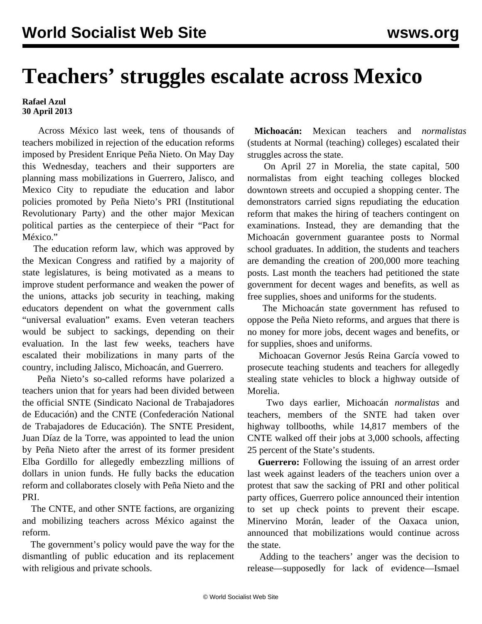## **Teachers' struggles escalate across Mexico**

**Rafael Azul 30 April 2013**

 Across México last week, tens of thousands of teachers mobilized in rejection of the education reforms imposed by President Enrique Peña Nieto. On May Day this Wednesday, teachers and their supporters are planning mass mobilizations in Guerrero, Jalisco, and Mexico City to repudiate the education and labor policies promoted by Peña Nieto's PRI (Institutional Revolutionary Party) and the other major Mexican political parties as the centerpiece of their "Pact for México."

 The education reform law, which was approved by the Mexican Congress and ratified by a majority of state legislatures, is being motivated as a means to improve student performance and weaken the power of the unions, attacks job security in teaching, making educators dependent on what the government calls "universal evaluation" exams. Even veteran teachers would be subject to sackings, depending on their evaluation. In the last few weeks, teachers have escalated their mobilizations in many parts of the country, including Jalisco, Michoacán, and Guerrero.

 Peña Nieto's so-called reforms have polarized a teachers union that for years had been divided between the official SNTE (Sindicato Nacional de Trabajadores de Educación) and the CNTE (Confederación National de Trabajadores de Educación). The SNTE President, Juan Díaz de la Torre, was appointed to lead the union by Peña Nieto after the arrest of its former president Elba Gordillo for allegedly embezzling millions of dollars in union funds. He fully backs the education reform and collaborates closely with Peña Nieto and the PRI.

 The CNTE, and other SNTE factions, are organizing and mobilizing teachers across México against the reform.

 The government's policy would pave the way for the dismantling of public education and its replacement with religious and private schools.

 **Michoacán:** Mexican teachers and *normalistas* (students at Normal (teaching) colleges) escalated their struggles across the state.

 On April 27 in Morelia, the state capital, 500 normalistas from eight teaching colleges blocked downtown streets and occupied a shopping center. The demonstrators carried signs repudiating the education reform that makes the hiring of teachers contingent on examinations. Instead, they are demanding that the Michoacán government guarantee posts to Normal school graduates. In addition, the students and teachers are demanding the creation of 200,000 more teaching posts. Last month the teachers had petitioned the state government for decent wages and benefits, as well as free supplies, shoes and uniforms for the students.

 The Michoacán state government has refused to oppose the Peña Nieto reforms, and argues that there is no money for more jobs, decent wages and benefits, or for supplies, shoes and uniforms.

 Michoacan Governor Jesús Reina García vowed to prosecute teaching students and teachers for allegedly stealing state vehicles to block a highway outside of Morelia.

 Two days earlier, Michoacán *normalistas* and teachers, members of the SNTE had taken over highway tollbooths, while 14,817 members of the CNTE walked off their jobs at 3,000 schools, affecting 25 percent of the State's students.

 **Guerrero:** Following the issuing of an arrest order last week against leaders of the teachers union over a protest that saw the sacking of PRI and other political party offices, Guerrero police announced their intention to set up check points to prevent their escape. Minervino Morán, leader of the Oaxaca union, announced that mobilizations would continue across the state.

 Adding to the teachers' anger was the decision to release—supposedly for lack of evidence—Ismael